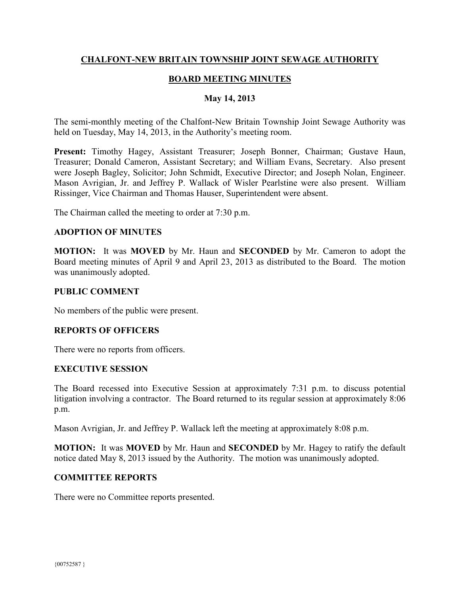# **CHALFONT-NEW BRITAIN TOWNSHIP JOINT SEWAGE AUTHORITY**

# **BOARD MEETING MINUTES**

## **May 14, 2013**

The semi-monthly meeting of the Chalfont-New Britain Township Joint Sewage Authority was held on Tuesday, May 14, 2013, in the Authority's meeting room.

**Present:** Timothy Hagey, Assistant Treasurer; Joseph Bonner, Chairman; Gustave Haun, Treasurer; Donald Cameron, Assistant Secretary; and William Evans, Secretary. Also present were Joseph Bagley, Solicitor; John Schmidt, Executive Director; and Joseph Nolan, Engineer. Mason Avrigian, Jr. and Jeffrey P. Wallack of Wisler Pearlstine were also present. William Rissinger, Vice Chairman and Thomas Hauser, Superintendent were absent.

The Chairman called the meeting to order at 7:30 p.m.

#### **ADOPTION OF MINUTES**

**MOTION:** It was **MOVED** by Mr. Haun and **SECONDED** by Mr. Cameron to adopt the Board meeting minutes of April 9 and April 23, 2013 as distributed to the Board. The motion was unanimously adopted.

#### **PUBLIC COMMENT**

No members of the public were present.

## **REPORTS OF OFFICERS**

There were no reports from officers.

#### **EXECUTIVE SESSION**

The Board recessed into Executive Session at approximately 7:31 p.m. to discuss potential litigation involving a contractor. The Board returned to its regular session at approximately 8:06 p.m.

Mason Avrigian, Jr. and Jeffrey P. Wallack left the meeting at approximately 8:08 p.m.

**MOTION:** It was **MOVED** by Mr. Haun and **SECONDED** by Mr. Hagey to ratify the default notice dated May 8, 2013 issued by the Authority. The motion was unanimously adopted.

## **COMMITTEE REPORTS**

There were no Committee reports presented.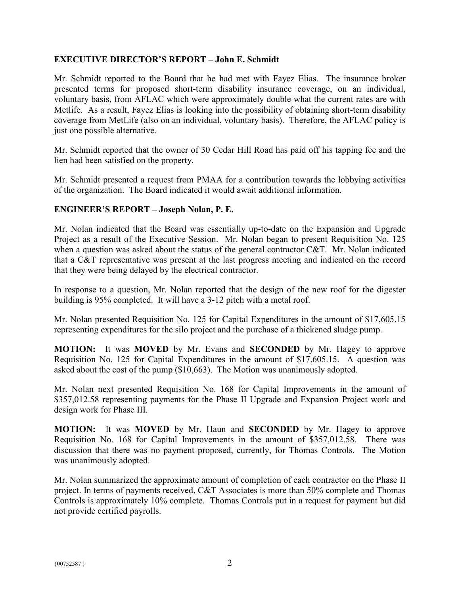# **EXECUTIVE DIRECTOR'S REPORT – John E. Schmidt**

Mr. Schmidt reported to the Board that he had met with Fayez Elias. The insurance broker presented terms for proposed short-term disability insurance coverage, on an individual, voluntary basis, from AFLAC which were approximately double what the current rates are with Metlife. As a result, Fayez Elias is looking into the possibility of obtaining short-term disability coverage from MetLife (also on an individual, voluntary basis). Therefore, the AFLAC policy is just one possible alternative.

Mr. Schmidt reported that the owner of 30 Cedar Hill Road has paid off his tapping fee and the lien had been satisfied on the property.

Mr. Schmidt presented a request from PMAA for a contribution towards the lobbying activities of the organization. The Board indicated it would await additional information.

## **ENGINEER'S REPORT – Joseph Nolan, P. E.**

Mr. Nolan indicated that the Board was essentially up-to-date on the Expansion and Upgrade Project as a result of the Executive Session. Mr. Nolan began to present Requisition No. 125 when a question was asked about the status of the general contractor C&T. Mr. Nolan indicated that a C&T representative was present at the last progress meeting and indicated on the record that they were being delayed by the electrical contractor.

In response to a question, Mr. Nolan reported that the design of the new roof for the digester building is 95% completed. It will have a 3-12 pitch with a metal roof.

Mr. Nolan presented Requisition No. 125 for Capital Expenditures in the amount of \$17,605.15 representing expenditures for the silo project and the purchase of a thickened sludge pump.

**MOTION:** It was **MOVED** by Mr. Evans and **SECONDED** by Mr. Hagey to approve Requisition No. 125 for Capital Expenditures in the amount of \$17,605.15. A question was asked about the cost of the pump (\$10,663). The Motion was unanimously adopted.

Mr. Nolan next presented Requisition No. 168 for Capital Improvements in the amount of \$357,012.58 representing payments for the Phase II Upgrade and Expansion Project work and design work for Phase III.

**MOTION:** It was **MOVED** by Mr. Haun and **SECONDED** by Mr. Hagey to approve Requisition No. 168 for Capital Improvements in the amount of \$357,012.58. There was discussion that there was no payment proposed, currently, for Thomas Controls. The Motion was unanimously adopted.

Mr. Nolan summarized the approximate amount of completion of each contractor on the Phase II project. In terms of payments received, C&T Associates is more than 50% complete and Thomas Controls is approximately 10% complete. Thomas Controls put in a request for payment but did not provide certified payrolls.